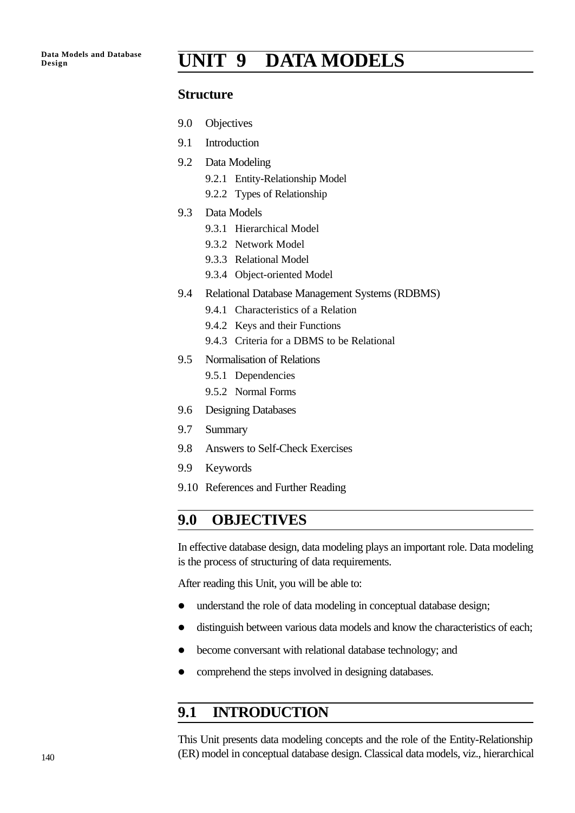# **Design UNIT 9 DATA MODELS**

#### **Structure**

- 9.0 Objectives
- 9.1 Introduction
- 9.2 Data Modeling
	- 9.2.1 Entity-Relationship Model
	- 9.2.2 Types of Relationship
- 9.3 Data Models
	- 9.3.1 Hierarchical Model
	- 9.3.2 Network Model
	- 9.3.3 Relational Model
	- 9.3.4 Object-oriented Model
- 9.4 Relational Database Management Systems (RDBMS)
	- 9.4.1 Characteristics of a Relation
	- 9.4.2 Keys and their Functions
	- 9.4.3 Criteria for a DBMS to be Relational
- 9.5 Normalisation of Relations
	- 9.5.1 Dependencies
	- 9.5.2 Normal Forms
- 9.6 Designing Databases
- 9.7 Summary
- 9.8 Answers to Self-Check Exercises
- 9.9 Keywords
- 9.10 References and Further Reading

### **9.0 OBJECTIVES**

In effective database design, data modeling plays an important role. Data modeling is the process of structuring of data requirements.

After reading this Unit, you will be able to:

- understand the role of data modeling in conceptual database design;
- $\bullet$  distinguish between various data models and know the characteristics of each;
- become conversant with relational database technology; and
- comprehend the steps involved in designing databases.

## **9.1 INTRODUCTION**

This Unit presents data modeling concepts and the role of the Entity-Relationship (ER) model in conceptual database design. Classical data models, viz., hierarchical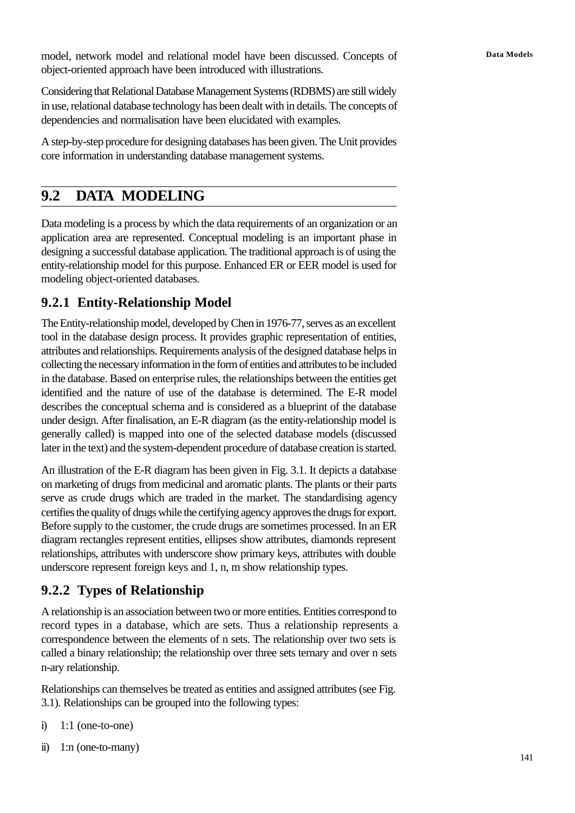model, network model and relational model have been discussed. Concepts of **Data Models** object-oriented approach have been introduced with illustrations.

Considering that Relational Database Management Systems (RDBMS) are still widely in use, relational database technology has been dealt with in details. The concepts of dependencies and normalisation have been elucidated with examples.

A step-by-step procedure for designing databases has been given. The Unit provides core information in understanding database management systems.

## **9.2 DATA MODELING**

Data modeling is a process by which the data requirements of an organization or an application area are represented. Conceptual modeling is an important phase in designing a successful database application. The traditional approach is of using the entity-relationship model for this purpose. Enhanced ER or EER model is used for modeling object-oriented databases.

## **9.2.1 Entity-Relationship Model**

The Entity-relationship model, developed by Chen in 1976-77, serves as an excellent tool in the database design process. It provides graphic representation of entities, attributes and relationships. Requirements analysis of the designed database helps in collecting the necessary information in the form of entities and attributes to be included in the database. Based on enterprise rules, the relationships between the entities get identified and the nature of use of the database is determined. The E-R model describes the conceptual schema and is considered as a blueprint of the database under design. After finalisation, an E-R diagram (as the entity-relationship model is generally called) is mapped into one of the selected database models (discussed later in the text) and the system-dependent procedure of database creation is started.

An illustration of the E-R diagram has been given in Fig. 3.1. It depicts a database on marketing of drugs from medicinal and aromatic plants. The plants or their parts serve as crude drugs which are traded in the market. The standardising agency certifies the quality of drugs while the certifying agency approves the drugs for export. Before supply to the customer, the crude drugs are sometimes processed. In an ER diagram rectangles represent entities, ellipses show attributes, diamonds represent relationships, attributes with underscore show primary keys, attributes with double underscore represent foreign keys and 1, n, m show relationship types.

## **9.2.2 Types of Relationship**

A relationship is an association between two or more entities. Entities correspond to record types in a database, which are sets. Thus a relationship represents a correspondence between the elements of n sets. The relationship over two sets is called a binary relationship; the relationship over three sets ternary and over n sets n-ary relationship.

Relationships can themselves be treated as entities and assigned attributes (see Fig. 3.1). Relationships can be grouped into the following types:

- i)  $1:1$  (one-to-one)
- ii) 1:n (one-to-many)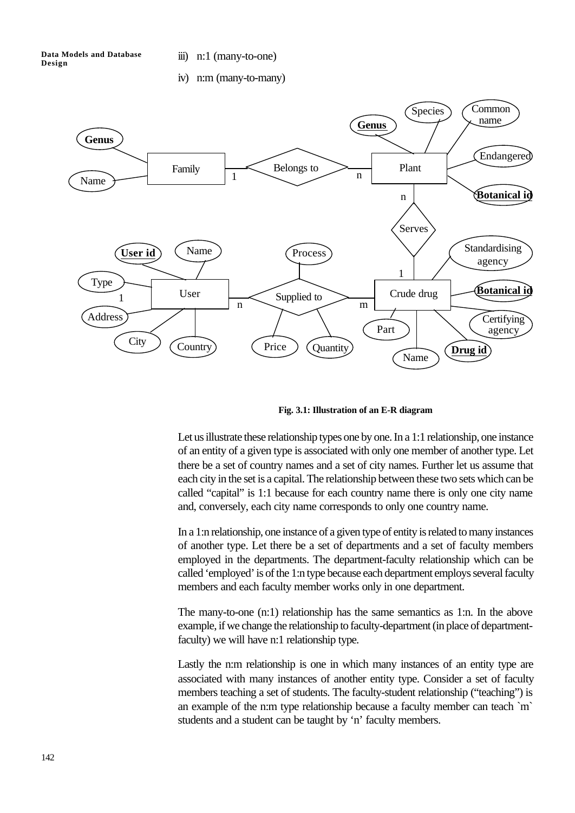iii) n:1 (many-to-one)

iv) n:m (many-to-many)



**Fig. 3.1: Illustration of an E-R diagram**

Let us illustrate these relationship types one by one. In a 1:1 relationship, one instance of an entity of a given type is associated with only one member of another type. Let there be a set of country names and a set of city names. Further let us assume that each city in the set is a capital. The relationship between these two sets which can be called "capital" is 1:1 because for each country name there is only one city name and, conversely, each city name corresponds to only one country name.

In a 1:n relationship, one instance of a given type of entity is related to many instances of another type. Let there be a set of departments and a set of faculty members employed in the departments. The department-faculty relationship which can be called 'employed' is of the 1:n type because each department employs several faculty members and each faculty member works only in one department.

The many-to-one (n:1) relationship has the same semantics as 1:n. In the above example, if we change the relationship to faculty-department (in place of departmentfaculty) we will have n:1 relationship type.

Lastly the n:m relationship is one in which many instances of an entity type are associated with many instances of another entity type. Consider a set of faculty members teaching a set of students. The faculty-student relationship ("teaching") is an example of the n:m type relationship because a faculty member can teach `m` students and a student can be taught by 'n' faculty members.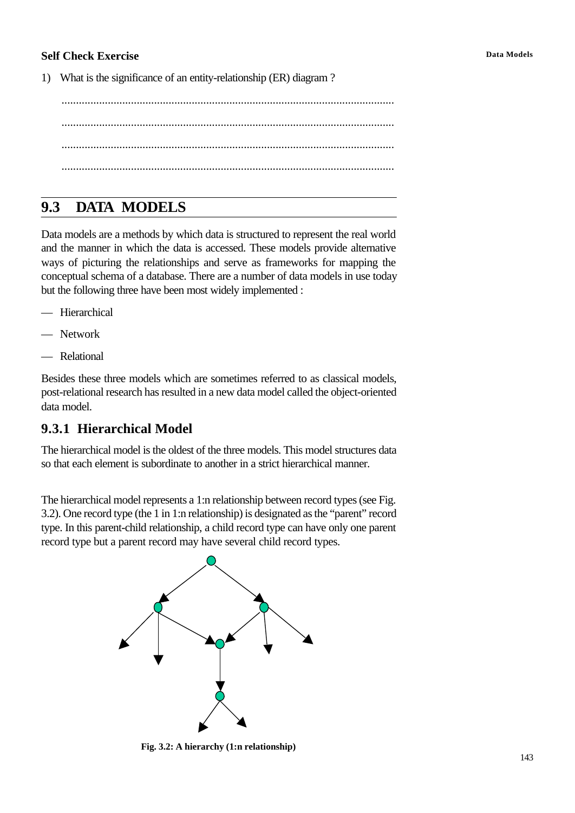#### **Self Check Exercise Data Models**

1) What is the significance of an entity-relationship (ER) diagram ?

................................................................................................................... ................................................................................................................... ................................................................................................................... ...................................................................................................................

# **9.3 DATA MODELS**

Data models are a methods by which data is structured to represent the real world and the manner in which the data is accessed. These models provide alternative ways of picturing the relationships and serve as frameworks for mapping the conceptual schema of a database. There are a number of data models in use today but the following three have been most widely implemented :

- Hierarchical
- Network
- Relational

Besides these three models which are sometimes referred to as classical models, post-relational research has resulted in a new data model called the object-oriented data model.

## **9.3.1 Hierarchical Model**

The hierarchical model is the oldest of the three models. This model structures data so that each element is subordinate to another in a strict hierarchical manner.

The hierarchical model represents a 1:n relationship between record types (see Fig. 3.2). One record type (the 1 in 1:n relationship) is designated as the "parent" record type. In this parent-child relationship, a child record type can have only one parent record type but a parent record may have several child record types.



**Fig. 3.2: A hierarchy (1:n relationship)**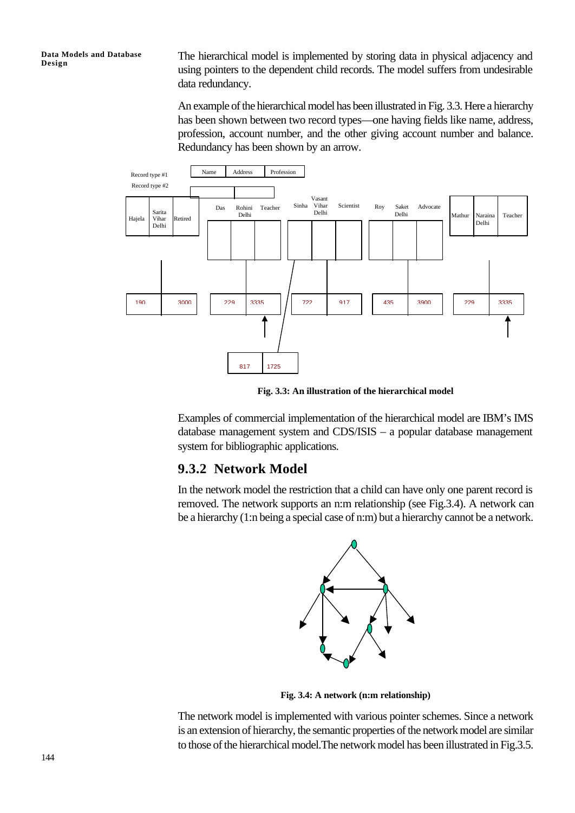The hierarchical model is implemented by storing data in physical adjacency and using pointers to the dependent child records. The model suffers from undesirable data redundancy.

An example of the hierarchical model has been illustrated in Fig. 3.3. Here a hierarchy has been shown between two record types—one having fields like name, address, profession, account number, and the other giving account number and balance. Redundancy has been shown by an arrow.



**Fig. 3.3: An illustration of the hierarchical model**

Examples of commercial implementation of the hierarchical model are IBM's IMS database management system and CDS/ISIS – a popular database management system for bibliographic applications.

#### **9.3.2 Network Model**

In the network model the restriction that a child can have only one parent record is removed. The network supports an n:m relationship (see Fig.3.4). A network can be a hierarchy (1:n being a special case of n:m) but a hierarchy cannot be a network.



**Fig. 3.4: A network (n:m relationship)**

The network model is implemented with various pointer schemes. Since a network is an extension of hierarchy, the semantic properties of the network model are similar to those of the hierarchical model.The network model has been illustrated in Fig.3.5.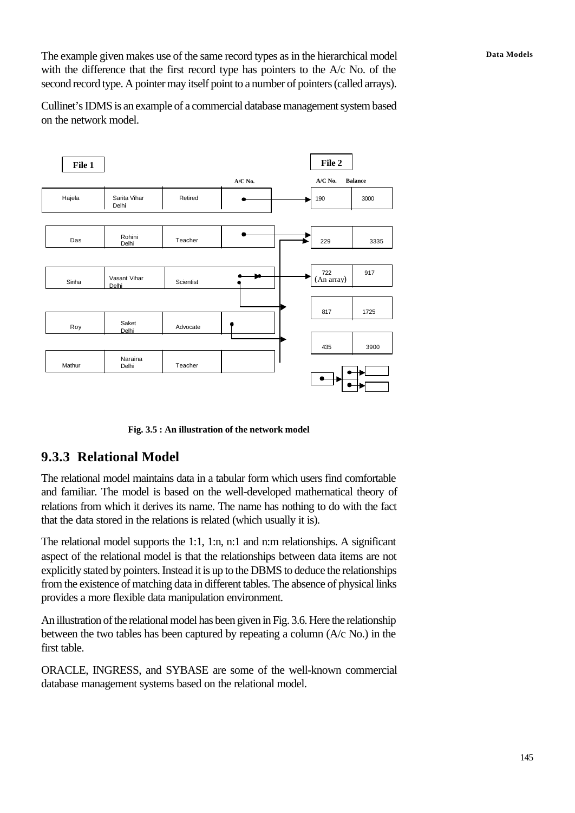The example given makes use of the same record types as in the hierarchical model **Data Models** with the difference that the first record type has pointers to the A/c No. of the second record type. A pointer may itself point to a number of pointers (called arrays).

Cullinet's IDMS is an example of a commercial database management system based on the network model.



**Fig. 3.5 : An illustration of the network model**

### **9.3.3 Relational Model**

The relational model maintains data in a tabular form which users find comfortable and familiar. The model is based on the well-developed mathematical theory of relations from which it derives its name. The name has nothing to do with the fact that the data stored in the relations is related (which usually it is).

The relational model supports the 1:1, 1:n, n:1 and n:m relationships. A significant aspect of the relational model is that the relationships between data items are not explicitly stated by pointers. Instead it is up to the DBMS to deduce the relationships from the existence of matching data in different tables. The absence of physical links provides a more flexible data manipulation environment.

An illustration of the relational model has been given in Fig. 3.6. Here the relationship between the two tables has been captured by repeating a column (A/c No.) in the first table.

ORACLE, INGRESS, and SYBASE are some of the well-known commercial database management systems based on the relational model.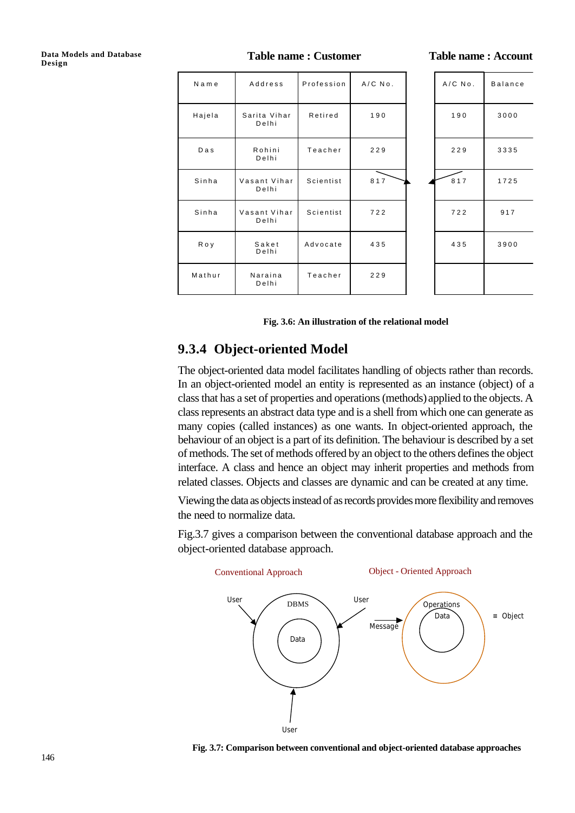**Table name : Customer Table name : Account**

| Name   | Address               | Profession | $A/C$ $No.$ | $A/CNO$ . | <b>Balance</b> |
|--------|-----------------------|------------|-------------|-----------|----------------|
| Hajela | Sarita Vihar<br>Delhi | Retired    | 190         | 190       | 3000           |
| Das    | Rohini<br>Delhi       | Teacher    | 229         | 229       | 3335           |
| Sinha  | Vasant Vihar<br>Delhi | Scientist  | 817         | 817       | 1725           |
| Sinha  | Vasant Vihar<br>Delhi | Scientist  | 722         | 722       | 917            |
| Roy    | Saket<br>Delhi        | Advocate   | 435         | 435       | 3900           |
| Mathur | Naraina<br>Delhi      | Teacher    | 229         |           |                |

**Fig. 3.6: An illustration of the relational model**

### **9.3.4 Object-oriented Model**

The object-oriented data model facilitates handling of objects rather than records. In an object-oriented model an entity is represented as an instance (object) of a class that has a set of properties and operations (methods) applied to the objects. A class represents an abstract data type and is a shell from which one can generate as many copies (called instances) as one wants. In object-oriented approach, the behaviour of an object is a part of its definition. The behaviour is described by a set of methods. The set of methods offered by an object to the others defines the object interface. A class and hence an object may inherit properties and methods from related classes. Objects and classes are dynamic and can be created at any time.

Viewing the data as objects instead of as records provides more flexibility and removes the need to normalize data.

Fig.3.7 gives a comparison between the conventional database approach and the object-oriented database approach.



 **Fig. 3.7: Comparison between conventional and object-oriented database approaches**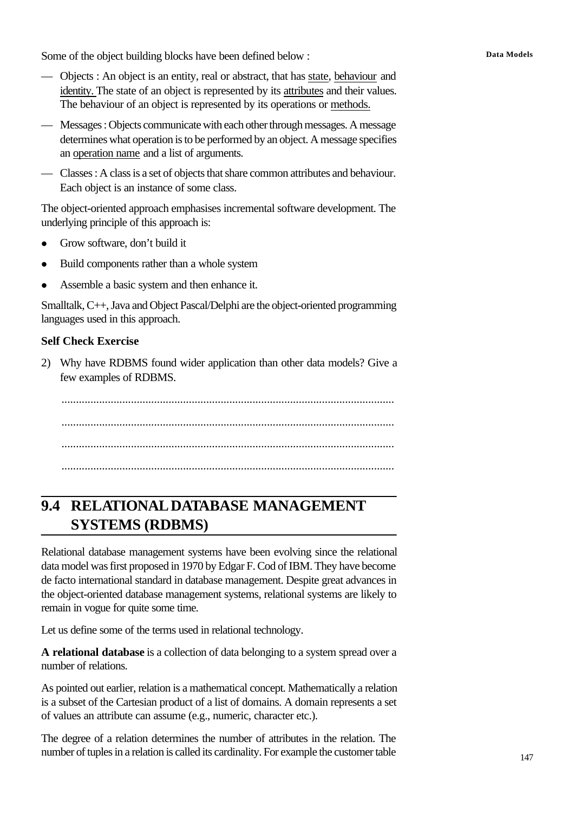Some of the object building blocks have been defined below : **Data Models** 

- Objects : An object is an entity, real or abstract, that has state, behaviour and identity. The state of an object is represented by its attributes and their values. The behaviour of an object is represented by its operations or methods.
- Messages : Objects communicate with each other through messages. A message determines what operation is to be performed by an object. A message specifies an operation name and a list of arguments.
- Classes : A class is a set of objects that share common attributes and behaviour. Each object is an instance of some class.

The object-oriented approach emphasises incremental software development. The underlying principle of this approach is:

- Grow software, don't build it
- Build components rather than a whole system
- Assemble a basic system and then enhance it.

Smalltalk, C++, Java and Object Pascal/Delphi are the object-oriented programming languages used in this approach.

#### **Self Check Exercise**

2) Why have RDBMS found wider application than other data models? Give a few examples of RDBMS.

................................................................................................................... ................................................................................................................... ................................................................................................................... ...................................................................................................................

# **9.4 RELATIONAL DATABASE MANAGEMENT SYSTEMS (RDBMS)**

Relational database management systems have been evolving since the relational data model was first proposed in 1970 by Edgar F. Cod of IBM. They have become de facto international standard in database management. Despite great advances in the object-oriented database management systems, relational systems are likely to remain in vogue for quite some time.

Let us define some of the terms used in relational technology.

**A relational database** is a collection of data belonging to a system spread over a number of relations.

As pointed out earlier, relation is a mathematical concept. Mathematically a relation is a subset of the Cartesian product of a list of domains. A domain represents a set of values an attribute can assume (e.g., numeric, character etc.).

The degree of a relation determines the number of attributes in the relation. The number of tuples in a relation is called its cardinality. For example the customer table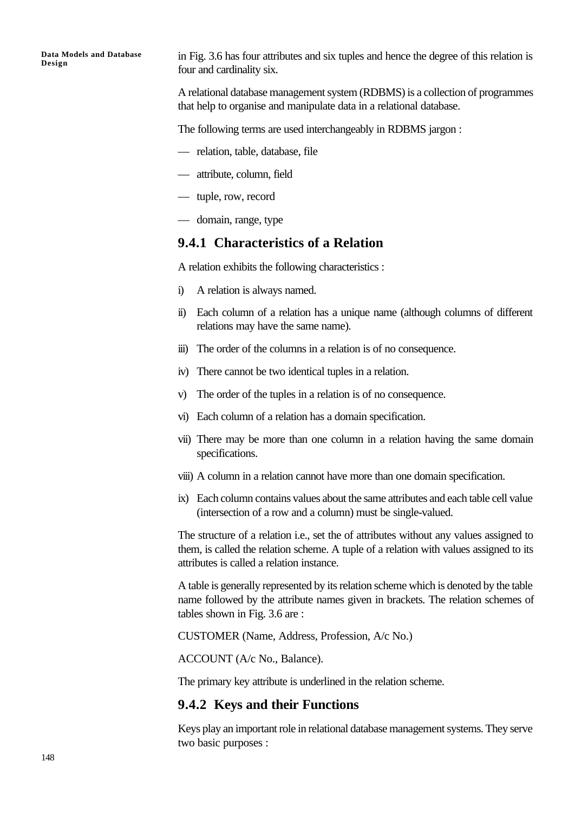in Fig. 3.6 has four attributes and six tuples and hence the degree of this relation is four and cardinality six.

A relational database management system (RDBMS) is a collection of programmes that help to organise and manipulate data in a relational database.

The following terms are used interchangeably in RDBMS jargon :

- relation, table, database, file
- attribute, column, field
- tuple, row, record
- domain, range, type

#### **9.4.1 Characteristics of a Relation**

A relation exhibits the following characteristics :

- i) A relation is always named.
- ii) Each column of a relation has a unique name (although columns of different relations may have the same name).
- iii) The order of the columns in a relation is of no consequence.
- iv) There cannot be two identical tuples in a relation.
- v) The order of the tuples in a relation is of no consequence.
- vi) Each column of a relation has a domain specification.
- vii) There may be more than one column in a relation having the same domain specifications.
- viii) A column in a relation cannot have more than one domain specification.
- ix) Each column contains values about the same attributes and each table cell value (intersection of a row and a column) must be single-valued.

The structure of a relation i.e., set the of attributes without any values assigned to them, is called the relation scheme. A tuple of a relation with values assigned to its attributes is called a relation instance.

A table is generally represented by its relation scheme which is denoted by the table name followed by the attribute names given in brackets. The relation schemes of tables shown in Fig. 3.6 are :

CUSTOMER (Name, Address, Profession, A/c No.)

ACCOUNT (A/c No., Balance).

The primary key attribute is underlined in the relation scheme.

### **9.4.2 Keys and their Functions**

Keys play an important role in relational database management systems. They serve two basic purposes :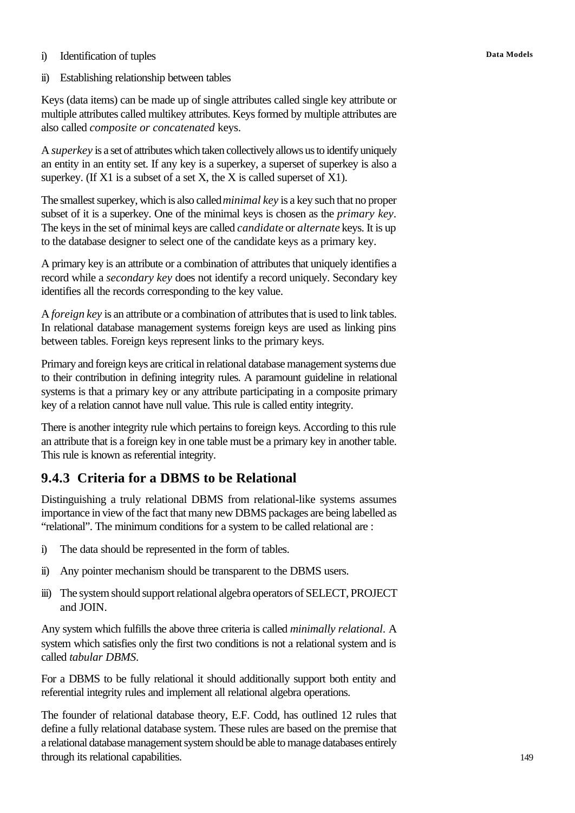#### i) Identification of tuples **Data Models**

ii) Establishing relationship between tables

Keys (data items) can be made up of single attributes called single key attribute or multiple attributes called multikey attributes. Keys formed by multiple attributes are also called *composite or concatenated* keys.

A *superkey* is a set of attributes which taken collectively allows us to identify uniquely an entity in an entity set. If any key is a superkey, a superset of superkey is also a superkey. (If  $X1$  is a subset of a set X, the X is called superset of  $X1$ ).

The smallest superkey, which is also called *minimal key* is a key such that no proper subset of it is a superkey. One of the minimal keys is chosen as the *primary key*. The keys in the set of minimal keys are called *candidate* or *alternate* keys. It is up to the database designer to select one of the candidate keys as a primary key.

A primary key is an attribute or a combination of attributes that uniquely identifies a record while a *secondary key* does not identify a record uniquely. Secondary key identifies all the records corresponding to the key value.

A *foreign key* is an attribute or a combination of attributes that is used to link tables. In relational database management systems foreign keys are used as linking pins between tables. Foreign keys represent links to the primary keys.

Primary and foreign keys are critical in relational database management systems due to their contribution in defining integrity rules. A paramount guideline in relational systems is that a primary key or any attribute participating in a composite primary key of a relation cannot have null value. This rule is called entity integrity.

There is another integrity rule which pertains to foreign keys. According to this rule an attribute that is a foreign key in one table must be a primary key in another table. This rule is known as referential integrity.

## **9.4.3 Criteria for a DBMS to be Relational**

Distinguishing a truly relational DBMS from relational-like systems assumes importance in view of the fact that many new DBMS packages are being labelled as "relational". The minimum conditions for a system to be called relational are :

- i) The data should be represented in the form of tables.
- ii) Any pointer mechanism should be transparent to the DBMS users.
- iii) The system should support relational algebra operators of SELECT, PROJECT and JOIN.

Any system which fulfills the above three criteria is called *minimally relational*. A system which satisfies only the first two conditions is not a relational system and is called *tabular DBMS*.

For a DBMS to be fully relational it should additionally support both entity and referential integrity rules and implement all relational algebra operations.

The founder of relational database theory, E.F. Codd, has outlined 12 rules that define a fully relational database system. These rules are based on the premise that a relational database management system should be able to manage databases entirely through its relational capabilities.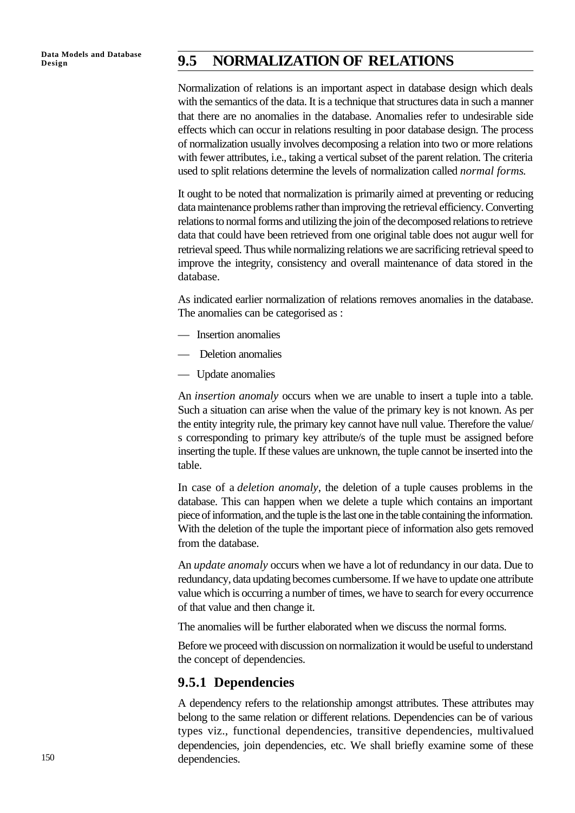## Data Models and Database **9.5 NORMALIZATION OF RELATIONS**

Normalization of relations is an important aspect in database design which deals with the semantics of the data. It is a technique that structures data in such a manner that there are no anomalies in the database. Anomalies refer to undesirable side effects which can occur in relations resulting in poor database design. The process of normalization usually involves decomposing a relation into two or more relations with fewer attributes, i.e., taking a vertical subset of the parent relation. The criteria used to split relations determine the levels of normalization called *normal forms*.

It ought to be noted that normalization is primarily aimed at preventing or reducing data maintenance problems rather than improving the retrieval efficiency. Converting relations to normal forms and utilizing the join of the decomposed relations to retrieve data that could have been retrieved from one original table does not augur well for retrieval speed. Thus while normalizing relations we are sacrificing retrieval speed to improve the integrity, consistency and overall maintenance of data stored in the database.

As indicated earlier normalization of relations removes anomalies in the database. The anomalies can be categorised as :

- Insertion anomalies
- Deletion anomalies
- Update anomalies

An *insertion anomaly* occurs when we are unable to insert a tuple into a table. Such a situation can arise when the value of the primary key is not known. As per the entity integrity rule, the primary key cannot have null value. Therefore the value/ s corresponding to primary key attribute/s of the tuple must be assigned before inserting the tuple. If these values are unknown, the tuple cannot be inserted into the table.

In case of a *deletion anomaly*, the deletion of a tuple causes problems in the database. This can happen when we delete a tuple which contains an important piece of information, and the tuple is the last one in the table containing the information. With the deletion of the tuple the important piece of information also gets removed from the database.

An *update anomaly* occurs when we have a lot of redundancy in our data. Due to redundancy, data updating becomes cumbersome. If we have to update one attribute value which is occurring a number of times, we have to search for every occurrence of that value and then change it.

The anomalies will be further elaborated when we discuss the normal forms.

Before we proceed with discussion on normalization it would be useful to understand the concept of dependencies.

### **9.5.1 Dependencies**

A dependency refers to the relationship amongst attributes. These attributes may belong to the same relation or different relations. Dependencies can be of various types viz., functional dependencies, transitive dependencies, multivalued dependencies, join dependencies, etc. We shall briefly examine some of these dependencies.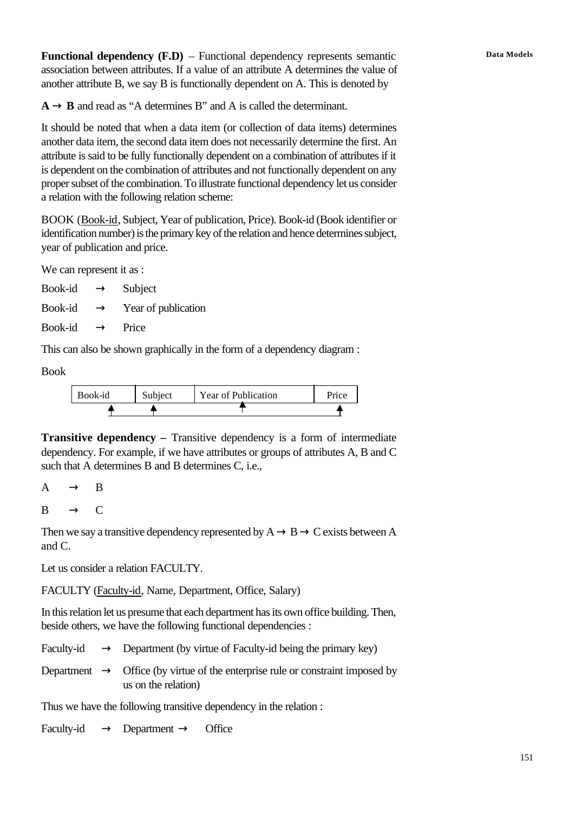Functional dependency (F.D) – Functional dependency represents semantic **Data Models** association between attributes. If a value of an attribute A determines the value of another attribute B, we say B is functionally dependent on A. This is denoted by

 $A \rightarrow B$  and read as "A determines B" and A is called the determinant.

It should be noted that when a data item (or collection of data items) determines another data item, the second data item does not necessarily determine the first. An attribute is said to be fully functionally dependent on a combination of attributes if it is dependent on the combination of attributes and not functionally dependent on any proper subset of the combination. To illustrate functional dependency let us consider a relation with the following relation scheme:

BOOK (Book-id, Subject, Year of publication, Price). Book-id (Book identifier or identification number) is the primary key of the relation and hence determines subject, year of publication and price.

We can represent it as :

| Book-id | $\rightarrow$ | Subject             |
|---------|---------------|---------------------|
| Book-id | $\rightarrow$ | Year of publication |

Book-id  $\rightarrow$  Price

This can also be shown graphically in the form of a dependency diagram :

Book

| Book-id | Subject | Year of Publication | Price |
|---------|---------|---------------------|-------|
|         |         |                     |       |

**Transitive dependency – Transitive dependency is a form of intermediate** dependency. For example, if we have attributes or groups of attributes A, B and C such that A determines B and B determines C, i.e.,

 $A \rightarrow B$ 

 $B \rightarrow C$ 

Then we say a transitive dependency represented by  $A \rightarrow B \rightarrow C$  exists between A and C.

Let us consider a relation FACULTY.

FACULTY (Faculty-id, Name, Department, Office, Salary)

In this relation let us presume that each department has its own office building. Then, beside others, we have the following functional dependencies :

|  | Faculty-id $\rightarrow$ Department (by virtue of Faculty-id being the primary key)                               |
|--|-------------------------------------------------------------------------------------------------------------------|
|  | Department $\rightarrow$ Office (by virtue of the enterprise rule or constraint imposed by<br>us on the relation) |

Thus we have the following transitive dependency in the relation :

Faculty-id  $\rightarrow$  Department  $\rightarrow$  Office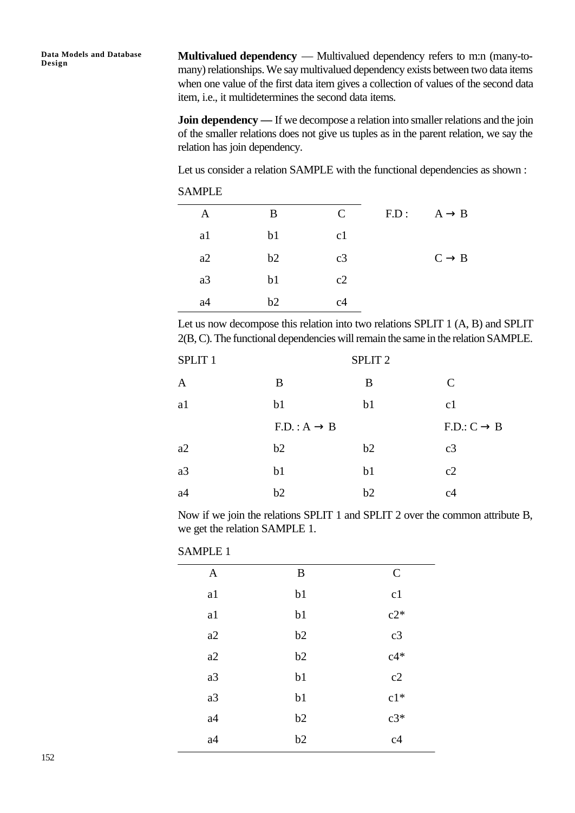**Multivalued dependency** — Multivalued dependency refers to m:n (many-tomany) relationships. We say multivalued dependency exists between two data items when one value of the first data item gives a collection of values of the second data item, i.e., it multidetermines the second data items.

**Join dependency —** If we decompose a relation into smaller relations and the join of the smaller relations does not give us tuples as in the parent relation, we say the relation has join dependency.

Let us consider a relation SAMPLE with the functional dependencies as shown :

| SAMPLE |  |
|--------|--|
|--------|--|

| A  | B              | $\mathcal{C}$ | F.D: | $A \rightarrow B$ |
|----|----------------|---------------|------|-------------------|
| a1 | b <sub>1</sub> | c1            |      |                   |
| a2 | b2             | c3            |      | $C \rightarrow B$ |
| a3 | b <sub>1</sub> | c2            |      |                   |
| a4 | b2             | c4            |      |                   |

Let us now decompose this relation into two relations SPLIT 1 (A, B) and SPLIT 2(B, C). The functional dependencies will remain the same in the relation SAMPLE.

| SPLIT <sub>1</sub> |                         | SPLIT <sub>2</sub> |                         |
|--------------------|-------------------------|--------------------|-------------------------|
| $\mathbf{A}$       | B                       | B                  | $\mathcal{C}$           |
| a1                 | b <sub>1</sub>          | b <sub>1</sub>     | c1                      |
|                    | $F.D.: A \rightarrow B$ |                    | $F.D.: C \rightarrow B$ |
| a2                 | b2                      | b2                 | c3                      |
| a3                 | b1                      | b1                 | c2                      |
| a <sub>4</sub>     | b2                      | b2                 | c <sub>4</sub>          |

Now if we join the relations SPLIT 1 and SPLIT 2 over the common attribute B, we get the relation SAMPLE 1.

| SAMPLE. |
|---------|
|---------|

| $\mathbf{A}$ | $\boldsymbol{B}$ | $\mathcal{C}$ |
|--------------|------------------|---------------|
| a1           | b1               | c1            |
| a1           | b1               | $c2*$         |
| a2           | b2               | c3            |
| a2           | b2               | $c4*$         |
| a3           | b1               | c2            |
| a3           | b1               | $c1*$         |
| a4           | b2               | $c3*$         |
| a4           | b2               | c4            |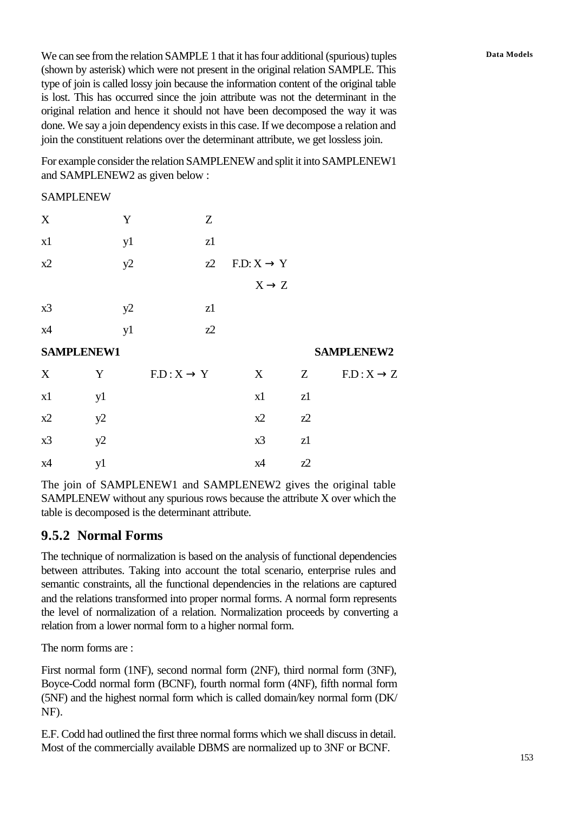We can see from the relation SAMPLE 1 that it has four additional (spurious) tuples **Data Models** (shown by asterisk) which were not present in the original relation SAMPLE. This type of join is called lossy join because the information content of the original table is lost. This has occurred since the join attribute was not the determinant in the original relation and hence it should not have been decomposed the way it was done. We say a join dependency exists in this case. If we decompose a relation and join the constituent relations over the determinant attribute, we get lossless join.

For example consider the relation SAMPLENEW and split it into SAMPLENEW1 and SAMPLENEW2 as given below :

#### SAMPLENEW

| X                 |    | Y  | Z                      |                        |       |                        |
|-------------------|----|----|------------------------|------------------------|-------|------------------------|
| x1                |    | y1 | z1                     |                        |       |                        |
| x2                |    | y2 | $z^2$                  | $F.D: X \rightarrow Y$ |       |                        |
|                   |    |    |                        | $X \rightarrow Z$      |       |                        |
| x3                |    | y2 | z1                     |                        |       |                        |
| x4                |    | y1 | $Z^2$                  |                        |       |                        |
| <b>SAMPLENEW1</b> |    |    |                        |                        |       | <b>SAMPLENEW2</b>      |
| X                 | Y  |    | $F.D: X \rightarrow Y$ | X                      | Z     | $F.D: X \rightarrow Z$ |
| x1                | y1 |    |                        | x1                     | z1    |                        |
| x2                | y2 |    |                        | x2                     | $Z^2$ |                        |
| x3                | y2 |    |                        | x3                     | z1    |                        |
| x4                | y1 |    |                        | x4                     | $Z^2$ |                        |

The join of SAMPLENEW1 and SAMPLENEW2 gives the original table SAMPLENEW without any spurious rows because the attribute X over which the table is decomposed is the determinant attribute.

### **9.5.2 Normal Forms**

The technique of normalization is based on the analysis of functional dependencies between attributes. Taking into account the total scenario, enterprise rules and semantic constraints, all the functional dependencies in the relations are captured and the relations transformed into proper normal forms. A normal form represents the level of normalization of a relation. Normalization proceeds by converting a relation from a lower normal form to a higher normal form.

The norm forms are :

First normal form (1NF), second normal form (2NF), third normal form (3NF), Boyce-Codd normal form (BCNF), fourth normal form (4NF), fifth normal form (5NF) and the highest normal form which is called domain/key normal form (DK/ NF).

E.F. Codd had outlined the first three normal forms which we shall discuss in detail. Most of the commercially available DBMS are normalized up to 3NF or BCNF.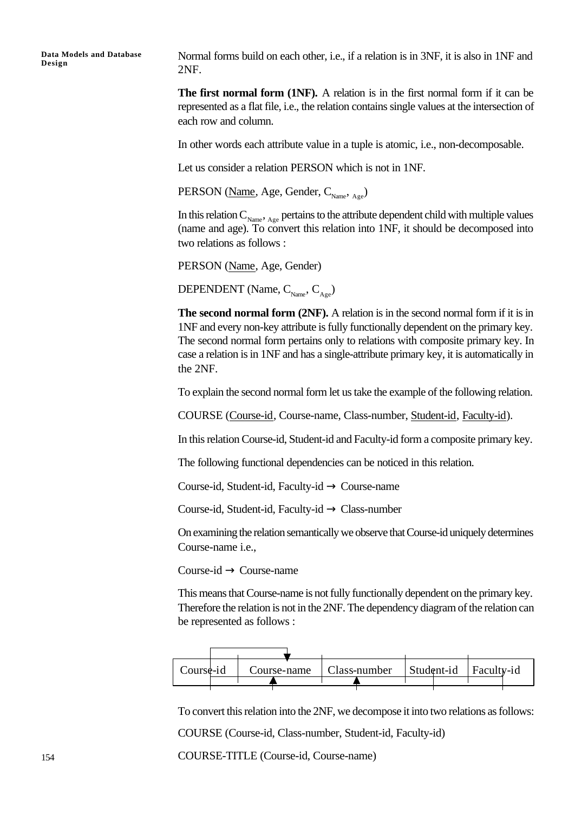Normal forms build on each other, i.e., if a relation is in 3NF, it is also in 1NF and 2NF.

**The first normal form (1NF).** A relation is in the first normal form if it can be represented as a flat file, i.e., the relation contains single values at the intersection of each row and column.

In other words each attribute value in a tuple is atomic, i.e., non-decomposable.

Let us consider a relation PERSON which is not in 1NF.

PERSON (Name, Age, Gender,  $C_{\text{Name}}$ ,  $_{\text{Age}}$ )

In this relation  $C_{\text{Name}}$ ,  $_{\text{Age}}$  pertains to the attribute dependent child with multiple values (name and age). To convert this relation into 1NF, it should be decomposed into two relations as follows :

PERSON (Name, Age, Gender)

DEPENDENT (Name,  $C_{_{\text{Name}}}, C_{_{\text{A}}_{\text{one}}}$ )

**The second normal form (2NF).** A relation is in the second normal form if it is in 1NF and every non-key attribute is fully functionally dependent on the primary key. The second normal form pertains only to relations with composite primary key. In case a relation is in 1NF and has a single-attribute primary key, it is automatically in the 2NF.

To explain the second normal form let us take the example of the following relation.

COURSE (Course-id, Course-name, Class-number, Student-id, Faculty-id).

In this relation Course-id, Student-id and Faculty-id form a composite primary key.

The following functional dependencies can be noticed in this relation.

Course-id, Student-id, Faculty-id  $\rightarrow$  Course-name

Course-id, Student-id, Faculty-id  $\rightarrow$  Class-number

On examining the relation semantically we observe that Course-id uniquely determines Course-name i.e.,

 $Course-id \rightarrow Course-name$ 

This means that Course-name is not fully functionally dependent on the primary key. Therefore the relation is not in the 2NF. The dependency diagram of the relation can be represented as follows :



To convert this relation into the 2NF, we decompose it into two relations as follows:

COURSE (Course-id, Class-number, Student-id, Faculty-id)

COURSE-TITLE (Course-id, Course-name)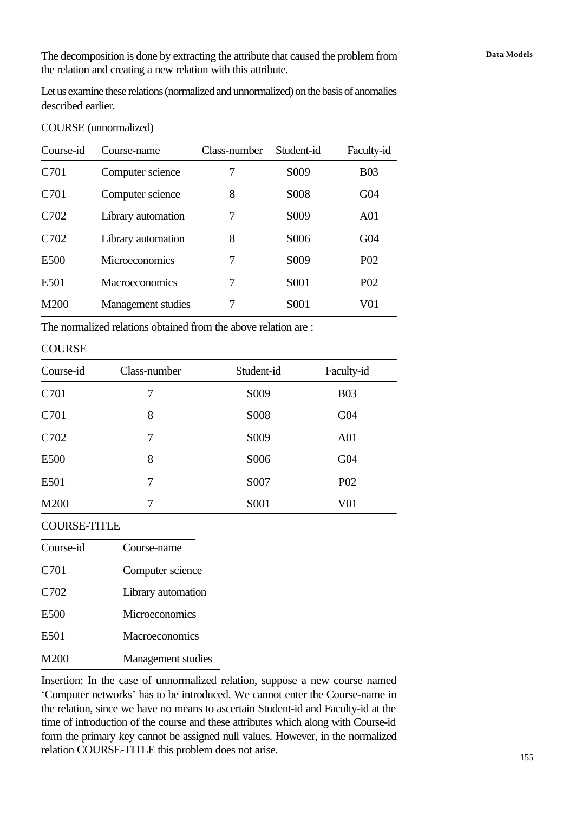The decomposition is done by extracting the attribute that caused the problem from **Data Models** the relation and creating a new relation with this attribute.

Let us examine these relations (normalized and unnormalized) on the basis of anomalies described earlier.

| Course-id        | Course-name           | Class-number | Student-id        | Faculty-id       |
|------------------|-----------------------|--------------|-------------------|------------------|
| C701             | Computer science      | 7            | S <sub>0</sub> 09 | <b>B03</b>       |
| C <sub>701</sub> | Computer science      | 8            | S <sub>008</sub>  | G <sub>04</sub>  |
| C702             | Library automation    | 7            | S <sub>0</sub> 09 | A <sub>01</sub>  |
| C702             | Library automation    | 8            | S006              | G <sub>04</sub>  |
| E500             | <b>Microeconomics</b> | 7            | S <sub>0</sub> 09 | P <sub>0</sub> 2 |
| E501             | Macroeconomics        | 7            | S <sub>001</sub>  | P <sub>0</sub> 2 |
| M200             | Management studies    | 7            | S <sub>001</sub>  | V01              |

#### COURSE (unnormalized)

The normalized relations obtained from the above relation are :

#### **COURSE**

| Course-id | Class-number | Student-id       | Faculty-id       |
|-----------|--------------|------------------|------------------|
| C701      | 7            | S <sub>009</sub> | <b>B03</b>       |
| C701      | 8            | S008             | G <sub>04</sub>  |
| C702      | 7            | S009             | A <sub>01</sub>  |
| E500      | 8            | S006             | G <sub>04</sub>  |
| E501      | 7            | S007             | P <sub>0</sub> 2 |
| M200      | 7            | S001             | V01              |

#### COURSE-TITLE

| Course-id | Course-name           |
|-----------|-----------------------|
| C701      | Computer science      |
| C702      | Library automation    |
| E500      | <b>Microeconomics</b> |
| E501      | <b>Macroeconomics</b> |
| M200      | Management studies    |

Insertion: In the case of unnormalized relation, suppose a new course named 'Computer networks' has to be introduced. We cannot enter the Course-name in the relation, since we have no means to ascertain Student-id and Faculty-id at the time of introduction of the course and these attributes which along with Course-id form the primary key cannot be assigned null values. However, in the normalized relation COURSE-TITLE this problem does not arise.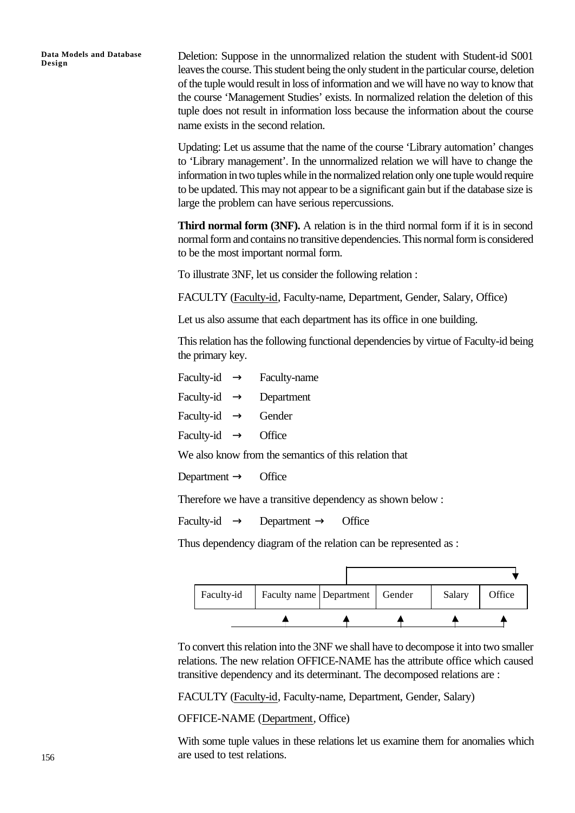Deletion: Suppose in the unnormalized relation the student with Student-id S001 leaves the course. This student being the only student in the particular course, deletion of the tuple would result in loss of information and we will have no way to know that the course 'Management Studies' exists. In normalized relation the deletion of this tuple does not result in information loss because the information about the course name exists in the second relation.

Updating: Let us assume that the name of the course 'Library automation' changes to 'Library management'. In the unnormalized relation we will have to change the information in two tuples while in the normalized relation only one tuple would require to be updated. This may not appear to be a significant gain but if the database size is large the problem can have serious repercussions.

**Third normal form (3NF).** A relation is in the third normal form if it is in second normal form and contains no transitive dependencies. This normal form is considered to be the most important normal form.

To illustrate 3NF, let us consider the following relation :

FACULTY (Faculty-id, Faculty-name, Department, Gender, Salary, Office)

Let us also assume that each department has its office in one building.

This relation has the following functional dependencies by virtue of Faculty-id being the primary key.

| Faculty-id $\rightarrow$ Faculty-name                 |  |  |  |  |
|-------------------------------------------------------|--|--|--|--|
| Faculty-id $\rightarrow$ Department                   |  |  |  |  |
| Faculty-id $\rightarrow$ Gender                       |  |  |  |  |
| Faculty-id $\rightarrow$ Office                       |  |  |  |  |
| We also know from the semantics of this relation that |  |  |  |  |
|                                                       |  |  |  |  |

Department  $\rightarrow$  Office

Therefore we have a transitive dependency as shown below :

Faculty-id  $\rightarrow$  Department  $\rightarrow$  Office

Thus dependency diagram of the relation can be represented as :

| Faculty-id | Faculty name Department   Gender |  | Salary | Office |
|------------|----------------------------------|--|--------|--------|
|            |                                  |  |        |        |

To convert this relation into the 3NF we shall have to decompose it into two smaller relations. The new relation OFFICE-NAME has the attribute office which caused transitive dependency and its determinant. The decomposed relations are :

FACULTY (Faculty-id, Faculty-name, Department, Gender, Salary)

OFFICE-NAME (Department, Office)

With some tuple values in these relations let us examine them for anomalies which are used to test relations.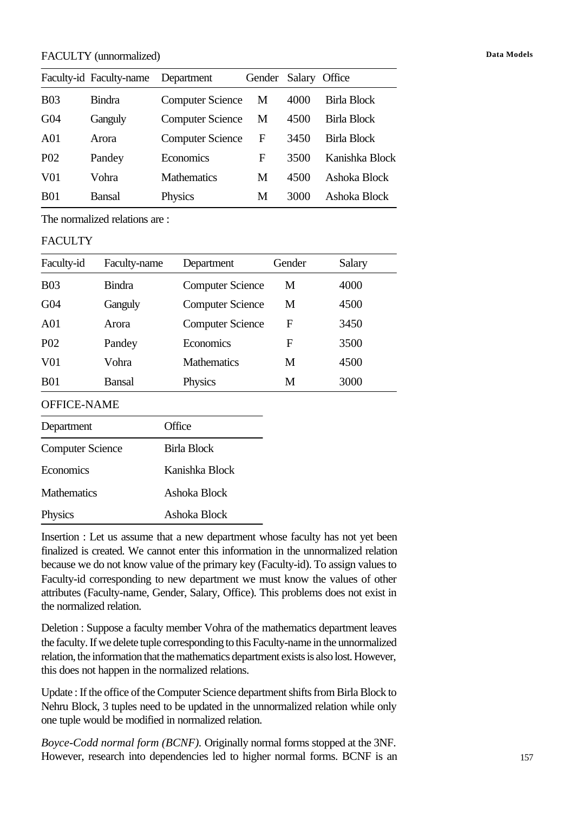#### FACULTY (unnormalized) **Data Models**

|                  | Faculty-id Faculty-name | Department              | Gender Salary Office |      |                    |
|------------------|-------------------------|-------------------------|----------------------|------|--------------------|
| <b>B03</b>       | <b>Bindra</b>           | <b>Computer Science</b> | M                    | 4000 | <b>Birla Block</b> |
| G <sub>04</sub>  | Ganguly                 | <b>Computer Science</b> | М                    | 4500 | Birla Block        |
| A <sub>01</sub>  | Arora                   | <b>Computer Science</b> | F                    | 3450 | Birla Block        |
| P <sub>0</sub> 2 | Pandey                  | Economics               | F                    | 3500 | Kanishka Block     |
| V01              | Vohra                   | <b>Mathematics</b>      | M                    | 4500 | Ashoka Block       |
| <b>B01</b>       | Bansal                  | Physics                 | М                    | 3000 | Ashoka Block       |

The normalized relations are :

#### FACULTY

| Faculty-id         | Faculty-name  | Department              | Gender | Salary |
|--------------------|---------------|-------------------------|--------|--------|
| <b>B03</b>         | <b>Bindra</b> | <b>Computer Science</b> | M      | 4000   |
| G <sub>04</sub>    | Ganguly       | <b>Computer Science</b> | M      | 4500   |
| A <sub>01</sub>    | Arora         | <b>Computer Science</b> | F      | 3450   |
| P <sub>0</sub> 2   | Pandey        | <b>Economics</b>        | F      | 3500   |
| V <sub>01</sub>    | Vohra         | <b>Mathematics</b>      | M      | 4500   |
| <b>B01</b>         | <b>Bansal</b> | Physics                 | M      | 3000   |
| <b>OFFICE-NAME</b> |               |                         |        |        |
| Department         |               | <b>T</b> fice           |        |        |

| <b>Computer Science</b> | Birla Block    |
|-------------------------|----------------|
| Economics               | Kanishka Block |
| <b>Mathematics</b>      | Ashoka Block   |
| Physics                 | Ashoka Block   |

Insertion : Let us assume that a new department whose faculty has not yet been finalized is created. We cannot enter this information in the unnormalized relation because we do not know value of the primary key (Faculty-id). To assign values to Faculty-id corresponding to new department we must know the values of other attributes (Faculty-name, Gender, Salary, Office). This problems does not exist in the normalized relation.

Deletion : Suppose a faculty member Vohra of the mathematics department leaves the faculty. If we delete tuple corresponding to this Faculty-name in the unnormalized relation, the information that the mathematics department exists is also lost. However, this does not happen in the normalized relations.

Update : If the office of the Computer Science department shifts from Birla Block to Nehru Block, 3 tuples need to be updated in the unnormalized relation while only one tuple would be modified in normalized relation.

*Boyce-Codd normal form (BCNF).* Originally normal forms stopped at the 3NF. However, research into dependencies led to higher normal forms. BCNF is an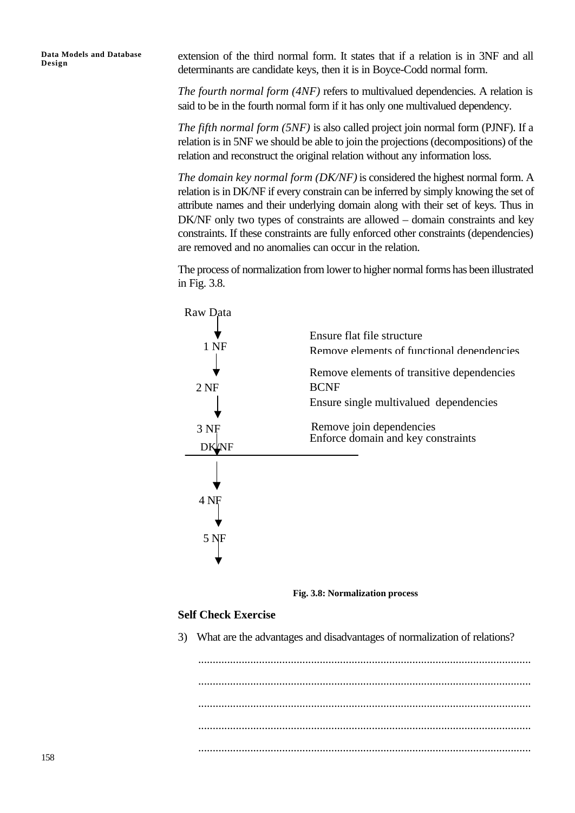extension of the third normal form. It states that if a relation is in 3NF and all determinants are candidate keys, then it is in Boyce-Codd normal form.

*The fourth normal form (4NF)* refers to multivalued dependencies. A relation is said to be in the fourth normal form if it has only one multivalued dependency.

*The fifth normal form (5NF)* is also called project join normal form (PJNF). If a relation is in 5NF we should be able to join the projections (decompositions) of the relation and reconstruct the original relation without any information loss.

*The domain key normal form (DK/NF)* is considered the highest normal form. A relation is in DK/NF if every constrain can be inferred by simply knowing the set of attribute names and their underlying domain along with their set of keys. Thus in DK/NF only two types of constraints are allowed – domain constraints and key constraints. If these constraints are fully enforced other constraints (dependencies) are removed and no anomalies can occur in the relation.

The process of normalization from lower to higher normal forms has been illustrated in Fig. 3.8.



**Fig. 3.8: Normalization process**

#### **Self Check Exercise**

3) What are the advantages and disadvantages of normalization of relations?

................................................................................................................... ................................................................................................................... ................................................................................................................... ................................................................................................................... ...................................................................................................................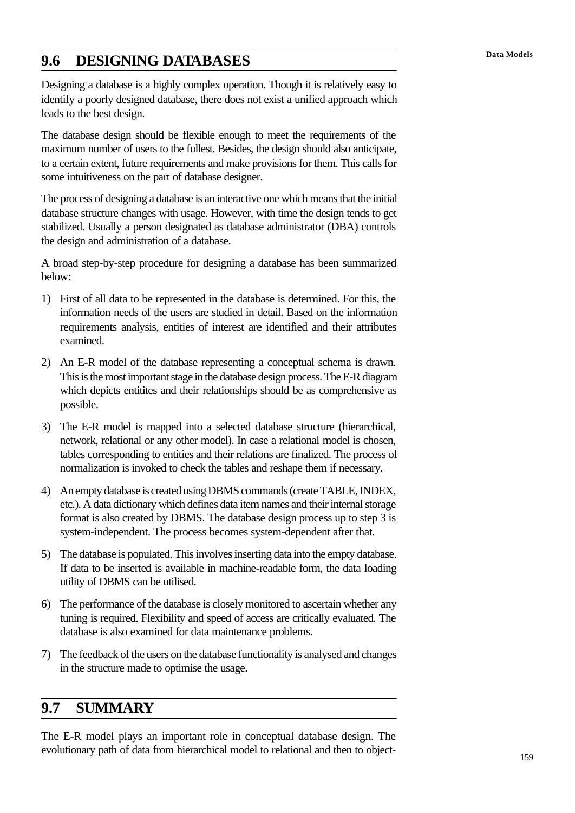# **Data Models 9.6 DESIGNING DATABASES**

Designing a database is a highly complex operation. Though it is relatively easy to identify a poorly designed database, there does not exist a unified approach which leads to the best design.

The database design should be flexible enough to meet the requirements of the maximum number of users to the fullest. Besides, the design should also anticipate, to a certain extent, future requirements and make provisions for them. This calls for some intuitiveness on the part of database designer.

The process of designing a database is an interactive one which means that the initial database structure changes with usage. However, with time the design tends to get stabilized. Usually a person designated as database administrator (DBA) controls the design and administration of a database.

A broad step-by-step procedure for designing a database has been summarized below:

- 1) First of all data to be represented in the database is determined. For this, the information needs of the users are studied in detail. Based on the information requirements analysis, entities of interest are identified and their attributes examined.
- 2) An E-R model of the database representing a conceptual schema is drawn. This is the most important stage in the database design process. The E-R diagram which depicts entitites and their relationships should be as comprehensive as possible.
- 3) The E-R model is mapped into a selected database structure (hierarchical, network, relational or any other model). In case a relational model is chosen, tables corresponding to entities and their relations are finalized. The process of normalization is invoked to check the tables and reshape them if necessary.
- 4) An empty database is created using DBMS commands (create TABLE, INDEX, etc.). A data dictionary which defines data item names and their internal storage format is also created by DBMS. The database design process up to step 3 is system-independent. The process becomes system-dependent after that.
- 5) The database is populated. This involves inserting data into the empty database. If data to be inserted is available in machine-readable form, the data loading utility of DBMS can be utilised.
- 6) The performance of the database is closely monitored to ascertain whether any tuning is required. Flexibility and speed of access are critically evaluated. The database is also examined for data maintenance problems.
- 7) The feedback of the users on the database functionality is analysed and changes in the structure made to optimise the usage.

## **9.7 SUMMARY**

The E-R model plays an important role in conceptual database design. The evolutionary path of data from hierarchical model to relational and then to object-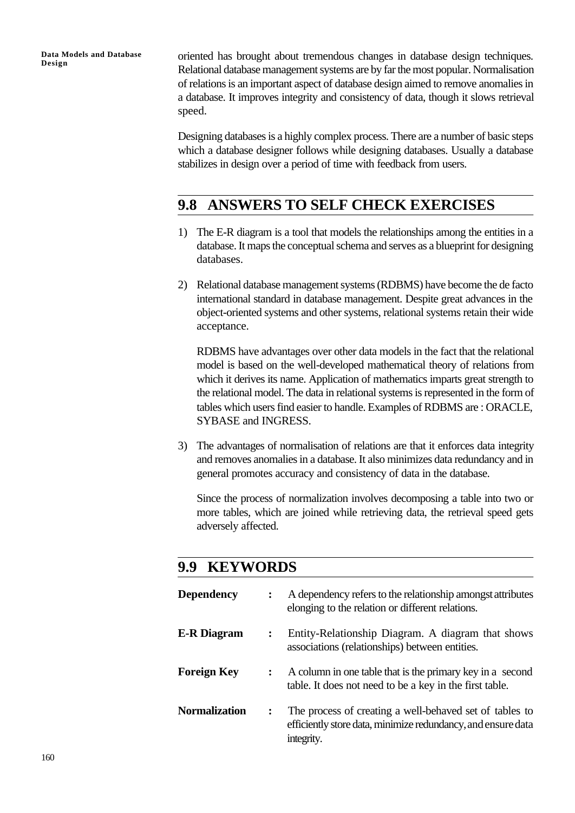oriented has brought about tremendous changes in database design techniques. Relational database management systems are by far the most popular. Normalisation of relations is an important aspect of database design aimed to remove anomalies in a database. It improves integrity and consistency of data, though it slows retrieval speed.

Designing databases is a highly complex process. There are a number of basic steps which a database designer follows while designing databases. Usually a database stabilizes in design over a period of time with feedback from users.

## **9.8 ANSWERS TO SELF CHECK EXERCISES**

- 1) The E-R diagram is a tool that models the relationships among the entities in a database. It maps the conceptual schema and serves as a blueprint for designing databases.
- 2) Relational database management systems (RDBMS) have become the de facto international standard in database management. Despite great advances in the object-oriented systems and other systems, relational systems retain their wide acceptance.

RDBMS have advantages over other data models in the fact that the relational model is based on the well-developed mathematical theory of relations from which it derives its name. Application of mathematics imparts great strength to the relational model. The data in relational systems is represented in the form of tables which users find easier to handle. Examples of RDBMS are : ORACLE, SYBASE and INGRESS.

3) The advantages of normalisation of relations are that it enforces data integrity and removes anomalies in a database. It also minimizes data redundancy and in general promotes accuracy and consistency of data in the database.

Since the process of normalization involves decomposing a table into two or more tables, which are joined while retrieving data, the retrieval speed gets adversely affected.

### **9.9 KEYWORDS**

| <b>Dependency</b>    | $\ddot{\phantom{a}}$ | A dependency refers to the relationship amongst attributes<br>elonging to the relation or different relations.                        |
|----------------------|----------------------|---------------------------------------------------------------------------------------------------------------------------------------|
| <b>E-R</b> Diagram   | :                    | Entity-Relationship Diagram. A diagram that shows<br>associations (relationships) between entities.                                   |
| <b>Foreign Key</b>   |                      | A column in one table that is the primary key in a second<br>table. It does not need to be a key in the first table.                  |
| <b>Normalization</b> | $\ddot{\cdot}$       | The process of creating a well-behaved set of tables to<br>efficiently store data, minimize redundancy, and ensure data<br>integrity. |